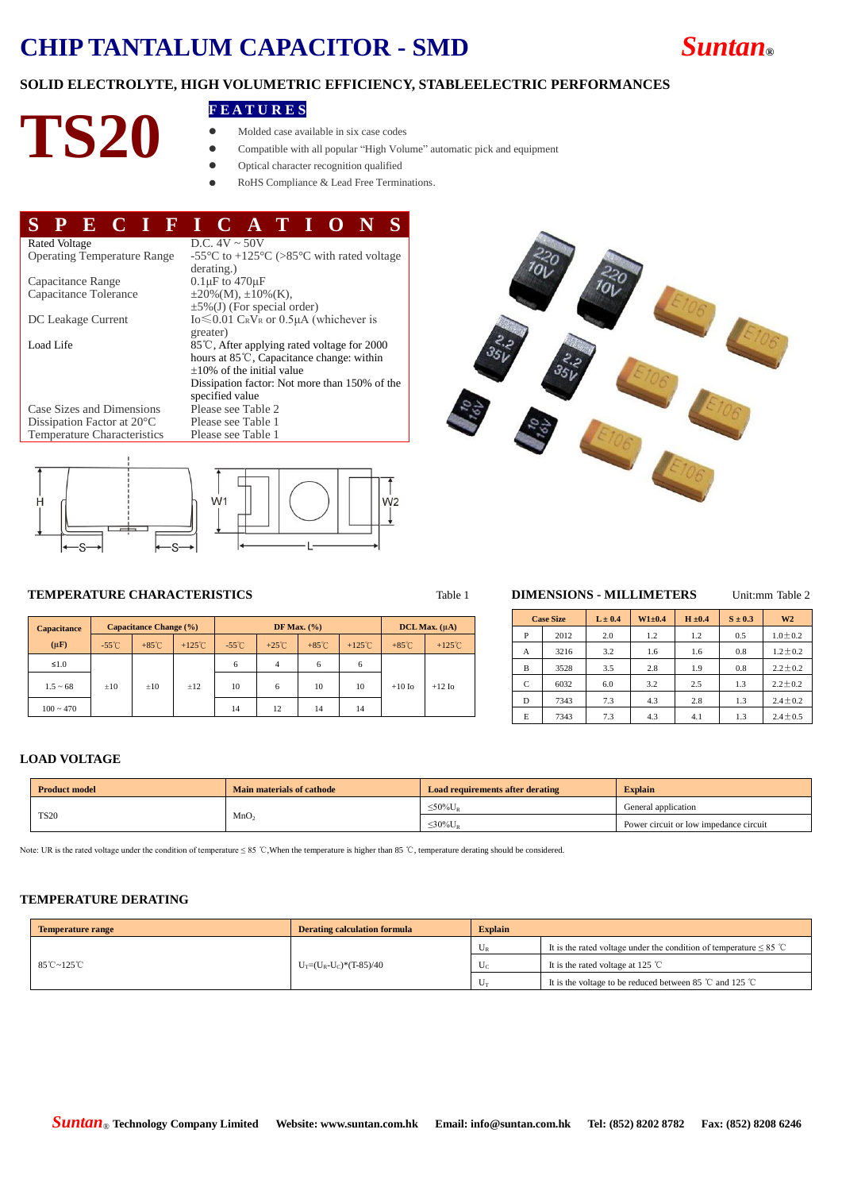## **CHIP TANTALUM CAPACITOR - SMD** *Suntan***®**



# **FEATURES**<br> **PS20 •** Molded case ava

- Molded case available in six case codes
- Compatible with all popular "High Volume" automatic pick and equipment
- Optical character recognition qualified
- RoHS Compliance & Lead Free Terminations.

#### **S P E C I F I C A T I O N S** Rated Voltage D.C.  $4V \sim 50V$ <br>Operating Temperature Range -55 °C to +125 -55°C to +125°C (>85°C with rated voltage derating.)<br> $0.1 \mu$ F to 470 $\mu$ F Capacitance Range  $0.1 \mu$ F to  $470 \mu$ F<br>Capacitance Tolerance  $\pm 20\%$ (M),  $\pm 10\%$  (K). Capacitance Tolerance  $\pm$ 5%(J) (For special order) DC Leakage Current  $I_0 \leq 0.01$  CRVR or  $0.5\mu A$  (whichever is greater) Load Life 85℃, After applying rated voltage for 2000 hours at 85℃, Capacitance change: within ±10% of the initial value Dissipation factor: Not more than 150% of the specified value<br>Please see Table 2 Case Sizes and Dimensions Please see Table 2<br>Dissipation Factor at 20  $\degree$  Please see Table 1 Dissipation Factor at 20 °C Please see Table 1<br>Temperature Characteristics Please see Table 1 Temperature Characteristics







#### **TEMPERATURE CHARACTERISTICS** Table 1 **DIMENSIONS - MILLIMETERS** Unit:mm Table 2

| <b>Capacitance</b> | <b>Capacitance Change (%)</b> |                 |                  | DF Max. $(\% )$ |                 |                 |                  | $DCL$ Max. $(\mu A)$ |                  |  |
|--------------------|-------------------------------|-----------------|------------------|-----------------|-----------------|-----------------|------------------|----------------------|------------------|--|
| $(\mu \mathbf{F})$ | $-55^{\circ}$ C               | $+85^{\circ}$ C | $+125^{\circ}$ C | $-55^{\circ}$ C | $+25^{\circ}$ C | $+85^{\circ}$ C | $+125^{\circ}$ C | $+85^{\circ}$ C      | $+125^{\circ}$ C |  |
| $\leq 1.0$         |                               |                 |                  | 6               | $\overline{4}$  | 6               | 6                |                      |                  |  |
| $1.5 - 68$         | $\pm 10$                      | $\pm 10$        | ±12              | 10              | 6               | 10              | 10               | $+10$ Io             | $+12$ Io         |  |
| $100 \sim 470$     |                               |                 |                  | 14              | 12              | 14              | 14               |                      |                  |  |

| <b>Case Size</b> |      | $L \pm 0.4$ | $W1 \pm 0.4$ | $H \pm 0.4$ | $S \pm 0.3$ | W <sub>2</sub> |  |
|------------------|------|-------------|--------------|-------------|-------------|----------------|--|
| P                | 2012 | 2.0         | 1.2          | 1.2         | 0.5         | $1.0 \pm 0.2$  |  |
| A                | 3216 | 3.2         | 1.6          | 1.6         | 0.8         | $1.2 \pm 0.2$  |  |
| B                | 3528 | 3.5         | 2.8          | 1.9         | 0.8         | $2.2 \pm 0.2$  |  |
| C                | 6032 | 6.0         | 3.2          | 2.5         | 1.3         | $2.2 \pm 0.2$  |  |
| D                | 7343 | 7.3         | 4.3          | 2.8         | 1.3         | $2.4 \pm 0.2$  |  |
| E                | 7343 | 7.3         | 4.3          | 4.1         | 1.3         | $2.4 \pm 0.5$  |  |

#### **LOAD VOLTAGE**

| <b>Product model</b> | <b>Main materials of cathode</b> | <b>Load requirements after derating</b>   | <b>Explain</b>                         |  |  |
|----------------------|----------------------------------|-------------------------------------------|----------------------------------------|--|--|
|                      | MnO <sub>2</sub>                 | $\leq$ 50% $\rm U_{\scriptscriptstyle R}$ | General application                    |  |  |
| <b>TS20</b>          |                                  | $\leq 30\%$ U <sub>R</sub>                | Power circuit or low impedance circuit |  |  |

Note: UR is the rated voltage under the condition of temperature ≤ 85 ℃, When the temperature is higher than 85 ℃, temperature derating should be considered.

#### **TEMPERATURE DERATING**

| <b>Temperature range</b>          | <b>Derating calculation formula</b> | <b>Explain</b> |                                                                            |  |
|-----------------------------------|-------------------------------------|----------------|----------------------------------------------------------------------------|--|
|                                   |                                     |                | It is the rated voltage under the condition of temperature $\leq 85$ °C    |  |
| $85^{\circ}$ C ~ 125 $^{\circ}$ C | $U_T=(U_R-U_C)*(T-85)/40$           |                | It is the rated voltage at 125 $^{\circ}$ C                                |  |
|                                   |                                     |                | It is the voltage to be reduced between 85 $\degree$ C and 125 $\degree$ C |  |